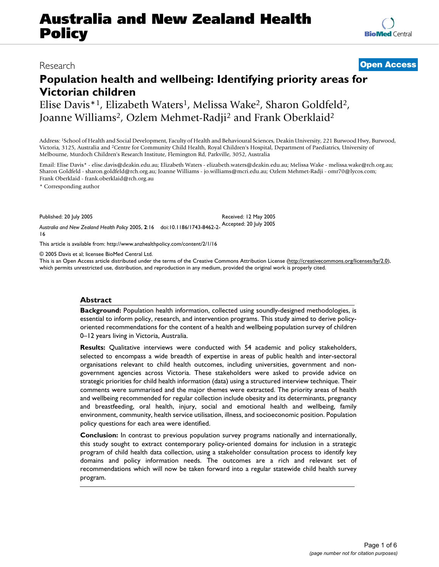# **Australia and New Zealand Health Policy**

## **Population health and wellbeing: Identifying priority areas for Victorian children**

Elise Davis\*1, Elizabeth Waters1, Melissa Wake2, Sharon Goldfeld2, Joanne Williams2, Ozlem Mehmet-Radji2 and Frank Oberklaid2

Address: 1School of Health and Social Development, Faculty of Health and Behavioural Sciences, Deakin University, 221 Burwood Hwy, Burwood, Victoria, 3125, Australia and 2Centre for Community Child Health, Royal Children's Hospital, Department of Paediatrics, University of Melbourne, Murdoch Children's Research Institute, Flemington Rd, Parkville, 3052, Australia

Email: Elise Davis\* - elise.davis@deakin.edu.au; Elizabeth Waters - elizabeth.waters@deakin.edu.au; Melissa Wake - melissa.wake@rch.org.au; Sharon Goldfeld - sharon.goldfeld@rch.org.au; Joanne Williams - jo.williams@mcri.edu.au; Ozlem Mehmet-Radji - omr70@lycos.com; Frank Oberklaid - frank.oberklaid@rch.org.au

\* Corresponding author

Published: 20 July 2005

16

*Australia and New Zealand Health Policy* 2005, **2**:16 doi:10.1186/1743-8462-2- Received: 12 May 2005 Accepted: 20 July 2005

[This article is available from: http://www.anzhealthpolicy.com/content/2/1/16](http://www.anzhealthpolicy.com/content/2/1/16)

© 2005 Davis et al; licensee BioMed Central Ltd.

This is an Open Access article distributed under the terms of the Creative Commons Attribution License [\(http://creativecommons.org/licenses/by/2.0\)](http://creativecommons.org/licenses/by/2.0), which permits unrestricted use, distribution, and reproduction in any medium, provided the original work is properly cited.

#### **Abstract**

**Background:** Population health information, collected using soundly-designed methodologies, is essential to inform policy, research, and intervention programs. This study aimed to derive policyoriented recommendations for the content of a health and wellbeing population survey of children 0–12 years living in Victoria, Australia.

**Results:** Qualitative interviews were conducted with 54 academic and policy stakeholders, selected to encompass a wide breadth of expertise in areas of public health and inter-sectoral organisations relevant to child health outcomes, including universities, government and nongovernment agencies across Victoria. These stakeholders were asked to provide advice on strategic priorities for child health information (data) using a structured interview technique. Their comments were summarised and the major themes were extracted. The priority areas of health and wellbeing recommended for regular collection include obesity and its determinants, pregnancy and breastfeeding, oral health, injury, social and emotional health and wellbeing, family environment, community, health service utilisation, illness, and socioeconomic position. Population policy questions for each area were identified.

**Conclusion:** In contrast to previous population survey programs nationally and internationally, this study sought to extract contemporary policy-oriented domains for inclusion in a strategic program of child health data collection, using a stakeholder consultation process to identify key domains and policy information needs. The outcomes are a rich and relevant set of recommendations which will now be taken forward into a regular statewide child health survey program.

Research **[Open Access](http://www.biomedcentral.com/info/about/charter/)**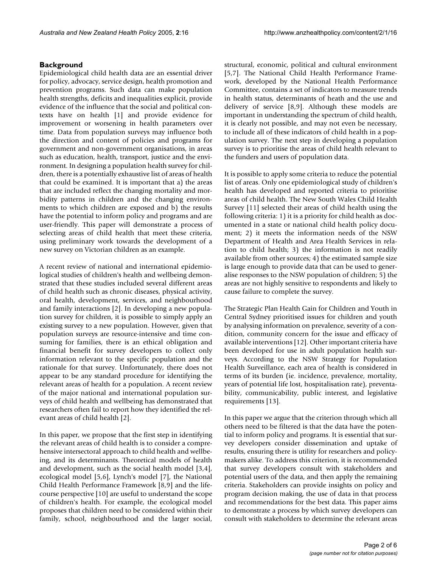### **Background**

Epidemiological child health data are an essential driver for policy, advocacy, service design, health promotion and prevention programs. Such data can make population health strengths, deficits and inequalities explicit, provide evidence of the influence that the social and political contexts have on health [1] and provide evidence for improvement or worsening in health parameters over time. Data from population surveys may influence both the direction and content of policies and programs for government and non-government organisations, in areas such as education, health, transport, justice and the environment. In designing a population health survey for children, there is a potentially exhaustive list of areas of health that could be examined. It is important that a) the areas that are included reflect the changing mortality and morbidity patterns in children and the changing environments to which children are exposed and b) the results have the potential to inform policy and programs and are user-friendly. This paper will demonstrate a process of selecting areas of child health that meet these criteria, using preliminary work towards the development of a new survey on Victorian children as an example.

A recent review of national and international epidemiological studies of children's health and wellbeing demonstrated that these studies included several different areas of child health such as chronic diseases, physical activity, oral health, development, services, and neighbourhood and family interactions [2]. In developing a new population survey for children, it is possible to simply apply an existing survey to a new population. However, given that population surveys are resource-intensive and time consuming for families, there is an ethical obligation and financial benefit for survey developers to collect only information relevant to the specific population and the rationale for that survey. Unfortunately, there does not appear to be any standard procedure for identifying the relevant areas of health for a population. A recent review of the major national and international population surveys of child health and wellbeing has demonstrated that researchers often fail to report how they identified the relevant areas of child health [2].

In this paper, we propose that the first step in identifying the relevant areas of child health is to consider a comprehensive intersectoral approach to child health and wellbeing, and its determinants. Theoretical models of health and development, such as the social health model [3,4], ecological model [5,6], Lynch's model [7], the National Child Health Performance Framework [8,9] and the lifecourse perspective [10] are useful to understand the scope of children's health. For example, the ecological model proposes that children need to be considered within their family, school, neighbourhood and the larger social,

structural, economic, political and cultural environment [5,7]. The National Child Health Performance Framework, developed by the National Health Performance Committee, contains a set of indicators to measure trends in health status, determinants of heath and the use and delivery of service [8,9]. Although these models are important in understanding the spectrum of child health, it is clearly not possible, and may not even be necessary, to include all of these indicators of child health in a population survey. The next step in developing a population survey is to prioritise the areas of child health relevant to the funders and users of population data.

It is possible to apply some criteria to reduce the potential list of areas. Only one epidemiological study of children's health has developed and reported criteria to prioritise areas of child health. The New South Wales Child Health Survey [11] selected their areas of child health using the following criteria: 1) it is a priority for child health as documented in a state or national child health policy document; 2) it meets the information needs of the NSW Department of Health and Area Health Services in relation to child health; 3) the information is not readily available from other sources; 4) the estimated sample size is large enough to provide data that can be used to generalise responses to the NSW population of children; 5) the areas are not highly sensitive to respondents and likely to cause failure to complete the survey.

The Strategic Plan Health Gain for Children and Youth in Central Sydney prioritised issues for children and youth by analysing information on prevalence, severity of a condition, community concern for the issue and efficacy of available interventions [12]. Other important criteria have been developed for use in adult population health surveys. According to the NSW Strategy for Population Health Surveillance, each area of health is considered in terms of its burden (ie. incidence, prevalence, mortality, years of potential life lost, hospitalisation rate), preventability, communicability, public interest, and legislative requirements [13].

In this paper we argue that the criterion through which all others need to be filtered is that the data have the potential to inform policy and programs. It is essential that survey developers consider dissemination and uptake of results, ensuring there is utility for researchers and policymakers alike. To address this criterion, it is recommended that survey developers consult with stakeholders and potential users of the data, and then apply the remaining criteria. Stakeholders can provide insights on policy and program decision making, the use of data in that process and recommendations for the best data. This paper aims to demonstrate a process by which survey developers can consult with stakeholders to determine the relevant areas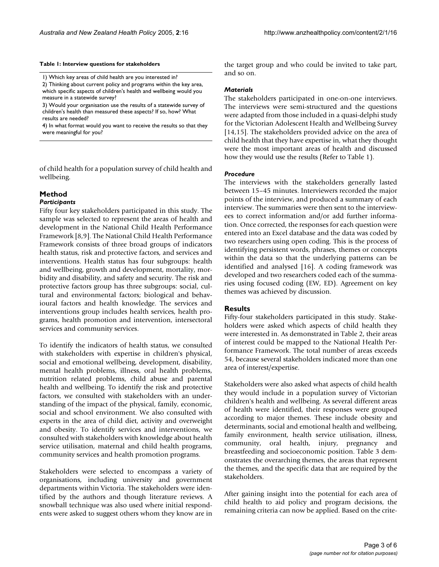#### **Table 1: Interview questions for stakeholders**

1) Which key areas of child health are you interested in? 2) Thinking about current policy and programs within the key area, which specific aspects of children's health and wellbeing would you measure in a statewide survey?

3) Would your organisation use the results of a statewide survey of children's health than measured these aspects? If so, how? What results are needed?

4) In what format would you want to receive the results so that they were meaningful for you?

of child health for a population survey of child health and wellbeing.

#### **Method**

#### *Participants*

Fifty four key stakeholders participated in this study. The sample was selected to represent the areas of health and development in the National Child Health Performance Framework [8,9]. The National Child Health Performance Framework consists of three broad groups of indicators health status, risk and protective factors, and services and interventions. Health status has four subgroups: health and wellbeing, growth and development, mortality, morbidity and disability, and safety and security. The risk and protective factors group has three subgroups: social, cultural and environmental factors; biological and behavioural factors and health knowledge. The services and interventions group includes health services, health programs, health promotion and intervention, intersectoral services and community services.

To identify the indicators of health status, we consulted with stakeholders with expertise in children's physical, social and emotional wellbeing, development, disability, mental health problems, illness, oral health problems, nutrition related problems, child abuse and parental health and wellbeing. To identify the risk and protective factors, we consulted with stakeholders with an understanding of the impact of the physical, family, economic, social and school environment. We also consulted with experts in the area of child diet, activity and overweight and obesity. To identify services and interventions, we consulted with stakeholders with knowledge about health service utilisation, maternal and child health programs, community services and health promotion programs.

Stakeholders were selected to encompass a variety of organisations, including university and government departments within Victoria. The stakeholders were identified by the authors and though literature reviews. A snowball technique was also used where initial respondents were asked to suggest others whom they know are in the target group and who could be invited to take part, and so on.

#### *Materials*

The stakeholders participated in one-on-one interviews. The interviews were semi-structured and the questions were adapted from those included in a quasi-delphi study for the Victorian Adolescent Health and Wellbeing Survey [14,15]. The stakeholders provided advice on the area of child health that they have expertise in, what they thought were the most important areas of health and discussed how they would use the results (Refer to Table 1).

#### *Procedure*

The interviews with the stakeholders generally lasted between 15–45 minutes. Interviewers recorded the major points of the interview, and produced a summary of each interview. The summaries were then sent to the interviewees to correct information and/or add further information. Once corrected, the responses for each question were entered into an Excel database and the data was coded by two researchers using open coding. This is the process of identifying persistent words, phrases, themes or concepts within the data so that the underlying patterns can be identified and analysed [16]. A coding framework was developed and two researchers coded each of the summaries using focused coding (EW, ED). Agreement on key themes was achieved by discussion.

#### **Results**

Fifty-four stakeholders participated in this study. Stakeholders were asked which aspects of child health they were interested in. As demonstrated in Table [2](#page-3-0), their areas of interest could be mapped to the National Health Performance Framework. The total number of areas exceeds 54, because several stakeholders indicated more than one area of interest/expertise.

Stakeholders were also asked what aspects of child health they would include in a population survey of Victorian children's health and wellbeing. As several different areas of health were identified, their responses were grouped according to major themes. These include obesity and determinants, social and emotional health and wellbeing, family environment, health service utilisation, illness, community, oral health, injury, pregnancy and breastfeeding and socioeconomic position. Table [3](#page-4-0) demonstrates the overarching themes, the areas that represent the themes, and the specific data that are required by the stakeholders.

After gaining insight into the potential for each area of child health to aid policy and program decisions, the remaining criteria can now be applied. Based on the crite-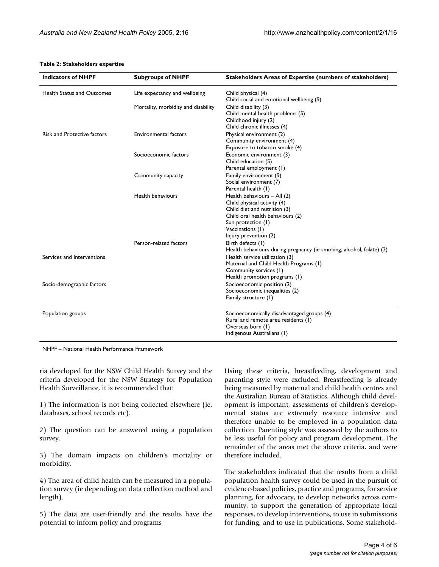<span id="page-3-0"></span>

| Table 2: Stakeholders expertise |  |
|---------------------------------|--|
|---------------------------------|--|

| <b>Indicators of NHPF</b>          | <b>Subgroups of NHPF</b>            | <b>Stakeholders Areas of Expertise (numbers of stakeholders)</b>     |
|------------------------------------|-------------------------------------|----------------------------------------------------------------------|
| <b>Health Status and Outcomes</b>  | Life expectancy and wellbeing       | Child physical (4)                                                   |
|                                    |                                     | Child social and emotional wellbeing (9)                             |
|                                    | Mortality, morbidity and disability | Child disability (3)                                                 |
|                                    |                                     | Child mental health problems (5)                                     |
|                                    |                                     | Childhood injury (2)                                                 |
|                                    |                                     | Child chronic illnesses (4)                                          |
| <b>Risk and Protective factors</b> | <b>Environmental factors</b>        | Physical environment (2)                                             |
|                                    |                                     | Community environment (4)                                            |
|                                    |                                     | Exposure to tobacco smoke (4)                                        |
|                                    | Socioeconomic factors               | Economic environment (3)                                             |
|                                    |                                     | Child education (5)                                                  |
|                                    |                                     | Parental employment (1)                                              |
|                                    | Community capacity                  | Family environment (9)                                               |
|                                    |                                     | Social environment (7)                                               |
|                                    |                                     | Parental health (1)                                                  |
|                                    | Health behaviours                   | Health behaviours - All (2)                                          |
|                                    |                                     | Child physical activity (4)                                          |
|                                    |                                     | Child diet and nutrition (3)                                         |
|                                    |                                     | Child oral health behaviours (2)                                     |
|                                    |                                     | Sun protection (1)                                                   |
|                                    |                                     | Vaccinations (1)                                                     |
|                                    |                                     | Injury prevention (2)                                                |
|                                    | Person-related factors              | Birth defects (1)                                                    |
|                                    |                                     | Health behaviours during pregnancy (ie smoking, alcohol, folate) (2) |
| Services and Interventions         |                                     | Health service utilization (3)                                       |
|                                    |                                     | Maternal and Child Health Programs (1)                               |
|                                    |                                     | Community services (1)                                               |
|                                    |                                     | Health promotion programs (1)                                        |
| Socio-demographic factors          |                                     | Socioeconomic position (2)                                           |
|                                    |                                     | Socioeconomic inequalities (2)                                       |
|                                    |                                     | Family structure (1)                                                 |
| Population groups                  |                                     | Socioeconomically disadvantaged groups (4)                           |
|                                    |                                     | Rural and remote area residents (1)                                  |
|                                    |                                     | Overseas born (1)                                                    |
|                                    |                                     | Indigenous Australians (1)                                           |
|                                    |                                     |                                                                      |

NHPF – National Health Performance Framework

ria developed for the NSW Child Health Survey and the criteria developed for the NSW Strategy for Population Health Surveillance, it is recommended that:

1) The information is not being collected elsewhere (ie. databases, school records etc).

2) The question can be answered using a population survey.

3) The domain impacts on children's mortality or morbidity.

4) The area of child health can be measured in a population survey (ie depending on data collection method and length).

5) The data are user-friendly and the results have the potential to inform policy and programs

Using these criteria, breastfeeding, development and parenting style were excluded. Breastfeeding is already being measured by maternal and child health centres and the Australian Bureau of Statistics. Although child development is important, assessments of children's developmental status are extremely resource intensive and therefore unable to be employed in a population data collection. Parenting style was assessed by the authors to be less useful for policy and program development. The remainder of the areas met the above criteria, and were therefore included.

The stakeholders indicated that the results from a child population health survey could be used in the pursuit of evidence-based policies, practice and programs, for service planning, for advocacy, to develop networks across community, to support the generation of appropriate local responses, to develop interventions, to use in submissions for funding, and to use in publications. Some stakehold-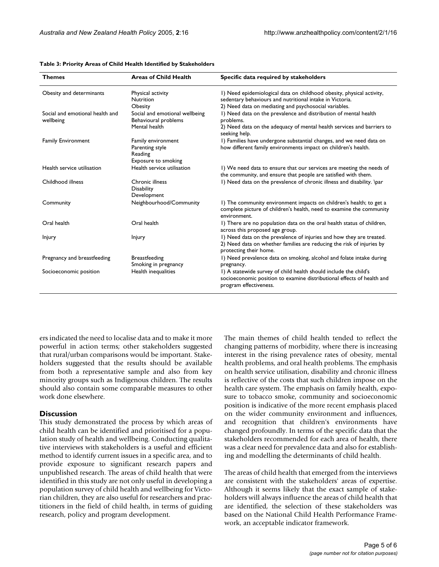| <b>Themes</b>                                | <b>Areas of Child Health</b>                                            | Specific data required by stakeholders                                                                                                                                                     |
|----------------------------------------------|-------------------------------------------------------------------------|--------------------------------------------------------------------------------------------------------------------------------------------------------------------------------------------|
| Obesity and determinants                     | Physical activity<br><b>Nutrition</b><br><b>Obesity</b>                 | I) Need epidemiological data on childhood obesity, physical activity,<br>sedentary behaviours and nutritional intake in Victoria.<br>2) Need data on mediating and psychosocial variables. |
| Social and emotional health and<br>wellbeing | Social and emotional wellbeing<br>Behavioural problems<br>Mental health | I) Need data on the prevalence and distribution of mental health<br>problems.<br>2) Need data on the adequacy of mental health services and barriers to<br>seeking help.                   |
| <b>Family Environment</b>                    | Family environment<br>Parenting style<br>Reading<br>Exposure to smoking | I) Families have undergone substantial changes, and we need data on<br>how different family environments impact on children's health.                                                      |
| Health service utilisation                   | Health service utilisation                                              | I) We need data to ensure that our services are meeting the needs of<br>the community, and ensure that people are satisfied with them.                                                     |
| Childhood illness                            | Chronic illness<br><b>Disability</b><br>Development                     | I) Need data on the prevalence of chronic illness and disability. \par                                                                                                                     |
| Community                                    | Neighbourhood/Community                                                 | I) The community environment impacts on children's health; to get a<br>complete picture of children's health, need to examine the community<br>environment.                                |
| Oral health                                  | Oral health                                                             | I) There are no population data on the oral health status of children,<br>across this proposed age group.                                                                                  |
| <b>Injury</b>                                | <b>Injury</b>                                                           | I) Need data on the prevalence of injuries and how they are treated.<br>2) Need data on whether families are reducing the risk of injuries by<br>protecting their home.                    |
| Pregnancy and breastfeeding                  | <b>Breastfeeding</b><br>Smoking in pregnancy                            | I) Need prevalence data on smoking, alcohol and folate intake during<br>pregnancy.                                                                                                         |
| Socioeconomic position                       | Health inequalities                                                     | I) A statewide survey of child health should include the child's<br>socioeconomic position to examine distributional effects of health and<br>program effectiveness.                       |

#### <span id="page-4-0"></span>**Table 3: Priority Areas of Child Health Identified by Stakeholders**

ers indicated the need to localise data and to make it more powerful in action terms; other stakeholders suggested that rural/urban comparisons would be important. Stakeholders suggested that the results should be available from both a representative sample and also from key minority groups such as Indigenous children. The results should also contain some comparable measures to other work done elsewhere.

#### **Discussion**

This study demonstrated the process by which areas of child health can be identified and prioritised for a population study of health and wellbeing. Conducting qualitative interviews with stakeholders is a useful and efficient method to identify current issues in a specific area, and to provide exposure to significant research papers and unpublished research. The areas of child health that were identified in this study are not only useful in developing a population survey of child health and wellbeing for Victorian children, they are also useful for researchers and practitioners in the field of child health, in terms of guiding research, policy and program development.

The main themes of child health tended to reflect the changing patterns of morbidity, where there is increasing interest in the rising prevalence rates of obesity, mental health problems, and oral health problems. The emphasis on health service utilisation, disability and chronic illness is reflective of the costs that such children impose on the health care system. The emphasis on family health, exposure to tobacco smoke, community and socioeconomic position is indicative of the more recent emphasis placed on the wider community environment and influences, and recognition that children's environments have changed profoundly. In terms of the specific data that the stakeholders recommended for each area of health, there was a clear need for prevalence data and also for establishing and modelling the determinants of child health.

The areas of child health that emerged from the interviews are consistent with the stakeholders' areas of expertise. Although it seems likely that the exact sample of stakeholders will always influence the areas of child health that are identified, the selection of these stakeholders was based on the National Child Health Performance Framework, an acceptable indicator framework.